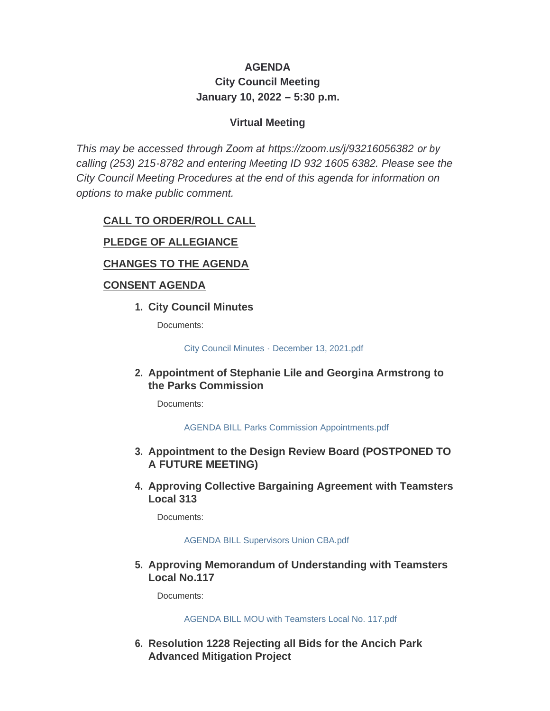# **AGENDA City Council Meeting January 10, 2022 – 5:30 p.m.**

### **Virtual Meeting**

*This may be accessed through Zoom at <https://zoom.us/j/93216056382> or by calling (253) 215-8782 and entering Meeting ID 932 1605 6382. Please see the City Council Meeting Procedures at the end of this agenda for information on options to make public comment.*

## **CALL TO ORDER/ROLL CALL**

### **PLEDGE OF ALLEGIANCE**

#### **CHANGES TO THE AGENDA**

#### **CONSENT AGENDA**

**City Council Minutes 1.**

Documents:

[City Council Minutes - December 13, 2021.pdf](http://www.cityofgigharbor.net/AgendaCenter/ViewFile/Item/700?fileID=1740)

#### **Appointment of Stephanie Lile and Georgina Armstrong to 2. the Parks Commission**

Documents:

[AGENDA BILL Parks Commission Appointments.pdf](http://www.cityofgigharbor.net/AgendaCenter/ViewFile/Item/702?fileID=1736)

#### **Appointment to the Design Review Board (POSTPONED TO 3. A FUTURE MEETING)**

**Approving Collective Bargaining Agreement with Teamsters 4. Local 313**

Documents:

#### [AGENDA BILL Supervisors Union CBA.pdf](http://www.cityofgigharbor.net/AgendaCenter/ViewFile/Item/706?fileID=1738)

**Approving Memorandum of Understanding with Teamsters 5. Local No.117**

Documents:

[AGENDA BILL MOU with Teamsters Local No. 117.pdf](http://www.cityofgigharbor.net/AgendaCenter/ViewFile/Item/707?fileID=1739)

**Resolution 1228 Rejecting all Bids for the Ancich Park 6. Advanced Mitigation Project**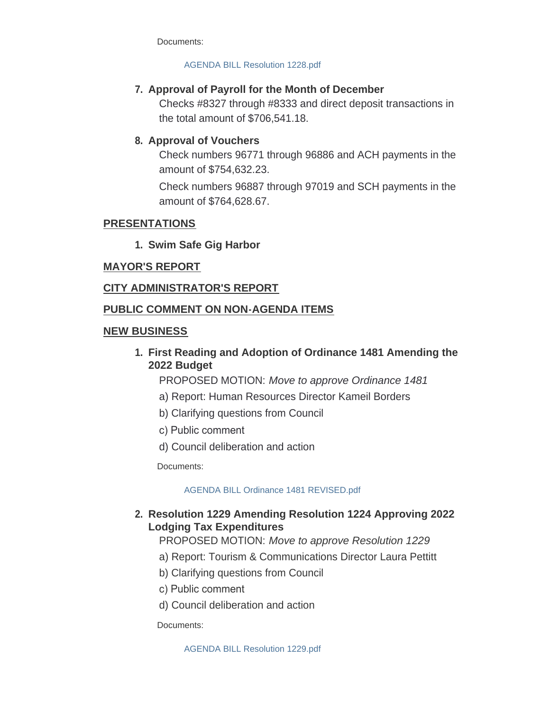Documents:

#### [AGENDA BILL Resolution 1228.pdf](http://www.cityofgigharbor.net/AgendaCenter/ViewFile/Item/705?fileID=1741)

## **Approval of Payroll for the Month of December 7.**

Checks #8327 through #8333 and direct deposit transactions in the total amount of \$706,541.18.

## **Approval of Vouchers 8.**

Check numbers 96771 through 96886 and ACH payments in the amount of \$754,632.23.

Check numbers 96887 through 97019 and SCH payments in the amount of \$764,628.67.

#### **PRESENTATIONS**

**Swim Safe Gig Harbor 1.**

### **MAYOR'S REPORT**

### **CITY ADMINISTRATOR'S REPORT**

#### **PUBLIC COMMENT ON NON-AGENDA ITEMS**

#### **NEW BUSINESS**

**First Reading and Adoption of Ordinance 1481 Amending the 1. 2022 Budget**

PROPOSED MOTION: *Move to approve Ordinance 1481*

- a) Report: Human Resources Director Kameil Borders
- b) Clarifying questions from Council
- c) Public comment
- d) Council deliberation and action

Documents:

#### [AGENDA BILL Ordinance 1481 REVISED.pdf](http://www.cityofgigharbor.net/AgendaCenter/ViewFile/Item/708?fileID=1745)

### **Resolution 1229 Amending Resolution 1224 Approving 2022 2. Lodging Tax Expenditures**

### PROPOSED MOTION: *Move to approve Resolution 1229*

- a) Report: Tourism & Communications Director Laura Pettitt
- b) Clarifying questions from Council
- c) Public comment
- d) Council deliberation and action

Documents:

[AGENDA BILL Resolution 1229.pdf](http://www.cityofgigharbor.net/AgendaCenter/ViewFile/Item/709?fileID=1744)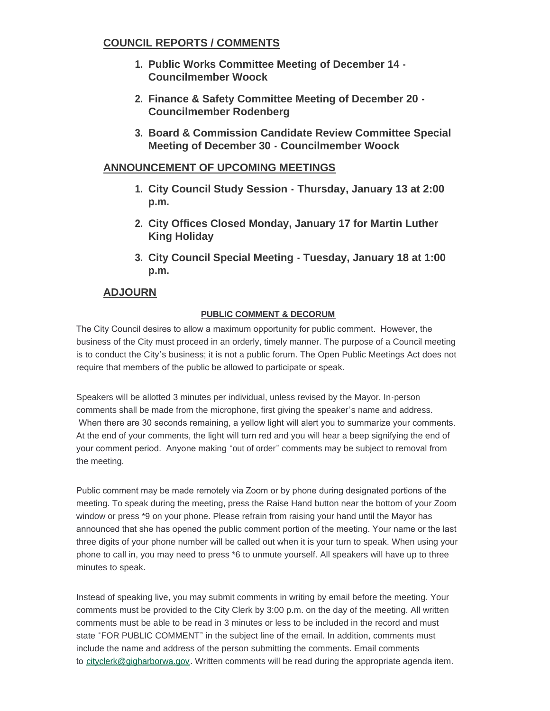#### **COUNCIL REPORTS / COMMENTS**

- **Public Works Committee Meeting of December 14 - 1. Councilmember Woock**
- **Finance & Safety Committee Meeting of December 20 - 2. Councilmember Rodenberg**
- **Board & Commission Candidate Review Committee Special 3. Meeting of December 30 - Councilmember Woock**

### **ANNOUNCEMENT OF UPCOMING MEETINGS**

- **City Council Study Session Thursday, January 13 at 2:00 1. p.m.**
- **City Offices Closed Monday, January 17 for Martin Luther 2. King Holiday**
- **City Council Special Meeting - Tuesday, January 18 at 1:00 3.p.m.**

## **ADJOURN**

#### **PUBLIC COMMENT & DECORUM**

The City Council desires to allow a maximum opportunity for public comment. However, the business of the City must proceed in an orderly, timely manner. The purpose of a Council meeting is to conduct the City's business; it is not a public forum. The Open Public Meetings Act does not require that members of the public be allowed to participate or speak.

Speakers will be allotted 3 minutes per individual, unless revised by the Mayor. In-person comments shall be made from the microphone, first giving the speaker's name and address. When there are 30 seconds remaining, a yellow light will alert you to summarize your comments. At the end of your comments, the light will turn red and you will hear a beep signifying the end of your comment period. Anyone making "out of order" comments may be subject to removal from the meeting.

Public comment may be made remotely via Zoom or by phone during designated portions of the meeting. To speak during the meeting, press the Raise Hand button near the bottom of your Zoom window or press \*9 on your phone. Please refrain from raising your hand until the Mayor has announced that she has opened the public comment portion of the meeting. Your name or the last three digits of your phone number will be called out when it is your turn to speak. When using your phone to call in, you may need to press \*6 to unmute yourself. All speakers will have up to three minutes to speak.

Instead of speaking live, you may submit comments in writing by email before the meeting. Your comments must be provided to the City Clerk by 3:00 p.m. on the day of the meeting. All written comments must be able to be read in 3 minutes or less to be included in the record and must state "FOR PUBLIC COMMENT" in the subject line of the email. In addition, comments must include the name and address of the person submitting the comments. Email comments to [cityclerk@gigharborwa.gov.](mailto:cityclerk@gigharborwa.gov) Written comments will be read during the appropriate agenda item.